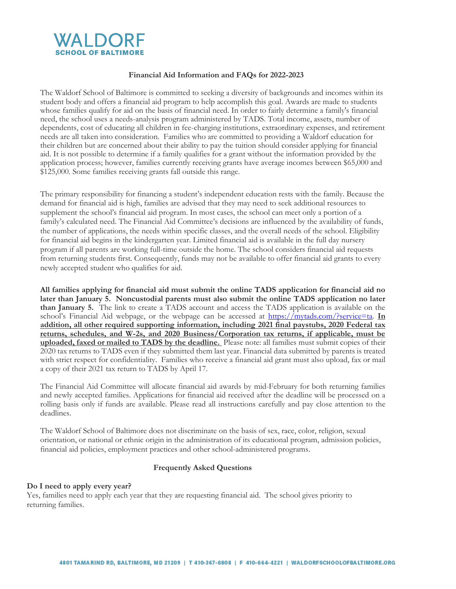

#### **Financial Aid Information and FAQs for 2022-2023**

The Waldorf School of Baltimore is committed to seeking a diversity of backgrounds and incomes within its student body and offers a financial aid program to help accomplish this goal. Awards are made to students whose families qualify for aid on the basis of financial need. In order to fairly determine a family's financial need, the school uses a needs-analysis program administered by TADS. Total income, assets, number of dependents, cost of educating all children in fee-charging institutions, extraordinary expenses, and retirement needs are all taken into consideration. Families who are committed to providing a Waldorf education for their children but are concerned about their ability to pay the tuition should consider applying for financial aid. It is not possible to determine if a family qualifies for a grant without the information provided by the application process; however, families currently receiving grants have average incomes between \$65,000 and \$125,000. Some families receiving grants fall outside this range.

The primary responsibility for financing a student's independent education rests with the family. Because the demand for financial aid is high, families are advised that they may need to seek additional resources to supplement the school's financial aid program. In most cases, the school can meet only a portion of a family's calculated need. The Financial Aid Committee's decisions are influenced by the availability of funds, the number of applications, the needs within specific classes, and the overall needs of the school. Eligibility for financial aid begins in the kindergarten year. Limited financial aid is available in the full day nursery program if all parents are working full-time outside the home. The school considers financial aid requests from returning students first. Consequently, funds may not be available to offer financial aid grants to every newly accepted student who qualifies for aid.

**All families applying for financial aid must submit the online TADS application for financial aid no later than January 5. Noncustodial parents must also submit the online TADS application no later than January 5.** The link to create a TADS account and access the TADS application is available on the school's Financial Aid webpage, or the webpage can be accessed at [https://mytads.com/?service=ta.](https://mytads.com/?service=ta) **In addition, all other required supporting information, including 2021 final paystubs, 2020 Federal tax returns, schedules, and W-2s, and 2020 Business/Corporation tax returns, if applicable, must be uploaded, faxed or mailed to TADS by the deadline.** Please note: all families must submit copies of their 2020 tax returns to TADS even if they submitted them last year. Financial data submitted by parents is treated with strict respect for confidentiality. Families who receive a financial aid grant must also upload, fax or mail a copy of their 2021 tax return to TADS by April 17.

The Financial Aid Committee will allocate financial aid awards by mid-February for both returning families and newly accepted families. Applications for financial aid received after the deadline will be processed on a rolling basis only if funds are available. Please read all instructions carefully and pay close attention to the deadlines.

The Waldorf School of Baltimore does not discriminate on the basis of sex, race, color, religion, sexual orientation, or national or ethnic origin in the administration of its educational program, admission policies, financial aid policies, employment practices and other school-administered programs.

#### **Frequently Asked Questions**

#### **Do I need to apply every year?**

Yes, families need to apply each year that they are requesting financial aid. The school gives priority to returning families.